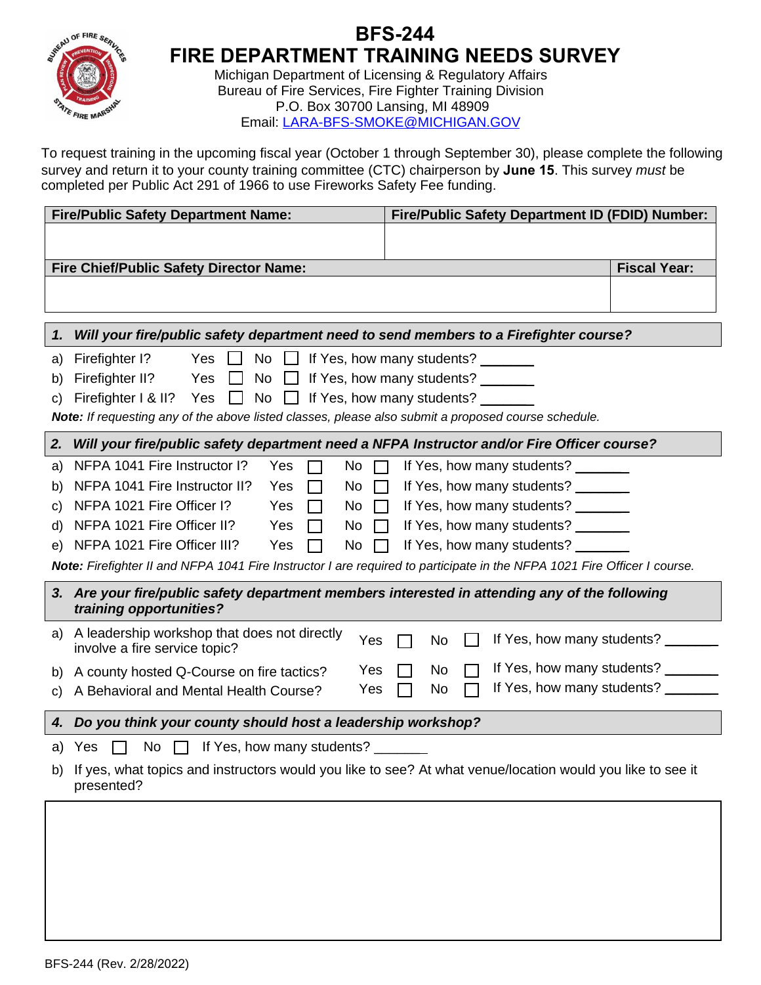

## **BFS244 FIRE DEPARTMENT TRAINING NEEDS SURVEY**

Michigan Department of Licensing & Regulatory Affairs Bureau of Fire Services, Fire Fighter Training Division P.O. Box 30700 Lansing, MI 48909 Email: [LARA-BFS-SMOKE@MICHIGAN.GOV](mailto:LARA-BFS-SMOKE@MICHIGAN.GOV)

To request training in the upcoming fiscal year (October 1 through September 30), please complete the following survey and return it to your county training committee (CTC) chairperson by **June 15**. This survey *must* be completed per Public Act 291 of 1966 to use Fireworks Safety Fee funding.

| <b>Fire/Public Safety Department Name:</b>                                                                               |                                                                                                                           | Fire/Public Safety Department ID (FDID) Number: |                     |  |
|--------------------------------------------------------------------------------------------------------------------------|---------------------------------------------------------------------------------------------------------------------------|-------------------------------------------------|---------------------|--|
|                                                                                                                          |                                                                                                                           |                                                 |                     |  |
| Fire Chief/Public Safety Director Name:                                                                                  |                                                                                                                           |                                                 | <b>Fiscal Year:</b> |  |
|                                                                                                                          |                                                                                                                           |                                                 |                     |  |
|                                                                                                                          |                                                                                                                           |                                                 |                     |  |
| 1.                                                                                                                       | Will your fire/public safety department need to send members to a Firefighter course?                                     |                                                 |                     |  |
| a)                                                                                                                       | Firefighter I?<br>If Yes, how many students?<br>Yes $\Box$<br>No<br>and a b                                               |                                                 |                     |  |
| b)                                                                                                                       | Firefighter II?<br>If Yes, how many students? ______<br>Yes<br>No<br>$\Box$                                               |                                                 |                     |  |
| C)                                                                                                                       | Firefighter I & II?<br>If Yes, how many students? _______<br><b>No</b><br>Yes<br>$\mathbf{1}$                             |                                                 |                     |  |
| Note: If requesting any of the above listed classes, please also submit a proposed course schedule.                      |                                                                                                                           |                                                 |                     |  |
| 2.<br>Will your fire/public safety department need a NFPA Instructor and/or Fire Officer course?                         |                                                                                                                           |                                                 |                     |  |
| a)                                                                                                                       | NFPA 1041 Fire Instructor I?<br>Yes<br>No<br>If Yes, how many students?                                                   |                                                 |                     |  |
| b)                                                                                                                       | NFPA 1041 Fire Instructor II?<br>If Yes, how many students? ______<br>Yes<br>No<br>$\mathbf{I}$                           |                                                 |                     |  |
| C)                                                                                                                       | NFPA 1021 Fire Officer I?<br>If Yes, how many students? ______<br>Yes<br>No<br>$\mathbf{I}$                               |                                                 |                     |  |
| d)                                                                                                                       | NFPA 1021 Fire Officer II?<br>If Yes, how many students?<br>Yes<br>No                                                     |                                                 |                     |  |
| e)                                                                                                                       | NFPA 1021 Fire Officer III?<br>If Yes, how many students? _______<br>Yes<br>No                                            |                                                 |                     |  |
| Note: Firefighter II and NFPA 1041 Fire Instructor I are required to participate in the NFPA 1021 Fire Officer I course. |                                                                                                                           |                                                 |                     |  |
|                                                                                                                          | 3. Are your fire/public safety department members interested in attending any of the following<br>training opportunities? |                                                 |                     |  |
| a)                                                                                                                       | A leadership workshop that does not directly<br>Yes<br>involve a fire service topic?                                      | If Yes, how many students?<br>No                |                     |  |
| b)                                                                                                                       | Yes<br>A county hosted Q-Course on fire tactics?                                                                          | If Yes, how many students?<br>No                |                     |  |
| C)                                                                                                                       | Yes<br>A Behavioral and Mental Health Course?                                                                             | If Yes, how many students? _______<br>No        |                     |  |
| 4.                                                                                                                       | Do you think your county should host a leadership workshop?                                                               |                                                 |                     |  |
| a)                                                                                                                       | If Yes, how many students? _______<br>No<br>Yes                                                                           |                                                 |                     |  |
| b)                                                                                                                       | If yes, what topics and instructors would you like to see? At what venue/location would you like to see it<br>presented?  |                                                 |                     |  |
|                                                                                                                          |                                                                                                                           |                                                 |                     |  |
|                                                                                                                          |                                                                                                                           |                                                 |                     |  |
|                                                                                                                          |                                                                                                                           |                                                 |                     |  |
|                                                                                                                          |                                                                                                                           |                                                 |                     |  |
|                                                                                                                          |                                                                                                                           |                                                 |                     |  |
|                                                                                                                          |                                                                                                                           |                                                 |                     |  |
|                                                                                                                          |                                                                                                                           |                                                 |                     |  |